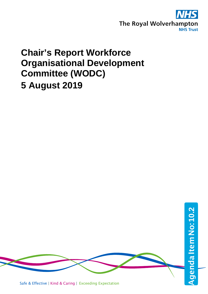

## **Chair's Report Workforce Organisational Development Committee (WODC) 5 August 2019**

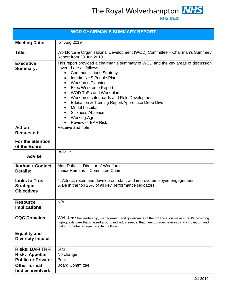The Royal Wolverhampton **NHS**<br>NHS Trust



| <b>WOD CHAIRMAN'S SUMMARY REPORT</b>                           |                                                                                                                                                                                                                                                                                                                                                                                                                                                                                                                                        |  |  |  |
|----------------------------------------------------------------|----------------------------------------------------------------------------------------------------------------------------------------------------------------------------------------------------------------------------------------------------------------------------------------------------------------------------------------------------------------------------------------------------------------------------------------------------------------------------------------------------------------------------------------|--|--|--|
| <b>Meeting Date:</b>                                           | $5^{th}$ Aug 2019                                                                                                                                                                                                                                                                                                                                                                                                                                                                                                                      |  |  |  |
| Title:                                                         | Workforce & Organisational Development (WOD) Committee - Chairman's Summary<br>Report from 28 Jun 2019                                                                                                                                                                                                                                                                                                                                                                                                                                 |  |  |  |
| <b>Executive</b><br><b>Summary:</b>                            | This report provided a chairman's summary of WOD and the key areas of discussion<br>covered are as follows:<br><b>Communications Strategy</b><br>$\bullet$<br>Interim NHS People Plan<br>٠<br><b>Workforce Planning</b><br>$\bullet$<br><b>Exec Workforce Report</b><br>$\bullet$<br>WOD ToRs and Work plan<br>$\bullet$<br>Workforce safeguards and Role Development<br>Education & Training Report/Apprentice Deep Dive<br>Model hospital<br>$\bullet$<br><b>Sickness Absence</b><br><b>Working Age</b><br><b>Review of BAF Risk</b> |  |  |  |
| <b>Action</b><br><b>Requested:</b>                             | Receive and note                                                                                                                                                                                                                                                                                                                                                                                                                                                                                                                       |  |  |  |
| For the attention<br>of the Board                              |                                                                                                                                                                                                                                                                                                                                                                                                                                                                                                                                        |  |  |  |
| <b>Advise</b>                                                  | Advise                                                                                                                                                                                                                                                                                                                                                                                                                                                                                                                                 |  |  |  |
| <b>Author + Contact</b><br><b>Details:</b>                     | Alan Duffell - Director of Workforce<br>Junior Hemans - Committee Chair                                                                                                                                                                                                                                                                                                                                                                                                                                                                |  |  |  |
| <b>Links to Trust</b><br><b>Strategic</b><br><b>Objectives</b> | 4. Attract, retain and develop our staff, and improve employee engagement<br>6. Be in the top 25% of all key performance indicators                                                                                                                                                                                                                                                                                                                                                                                                    |  |  |  |
| <b>Resource</b><br><b>Implications:</b>                        | N/A                                                                                                                                                                                                                                                                                                                                                                                                                                                                                                                                    |  |  |  |
| <b>CQC Domains</b>                                             | Well-led: the leadership, management and governance of the organisation make sure it's providing<br>high-quality care that's based around individual needs, that it encourages learning and innovation, and<br>that it promotes an open and fair culture.                                                                                                                                                                                                                                                                              |  |  |  |
| <b>Equality and</b><br><b>Diversity Impact</b>                 |                                                                                                                                                                                                                                                                                                                                                                                                                                                                                                                                        |  |  |  |
| <b>Risks: BAF/TRR</b>                                          | SR <sub>1</sub>                                                                                                                                                                                                                                                                                                                                                                                                                                                                                                                        |  |  |  |
| <b>Risk: Appetite</b>                                          | No change                                                                                                                                                                                                                                                                                                                                                                                                                                                                                                                              |  |  |  |
| <b>Public or Private:</b>                                      | Public                                                                                                                                                                                                                                                                                                                                                                                                                                                                                                                                 |  |  |  |
| <b>Other formal</b>                                            | <b>Board Committee</b>                                                                                                                                                                                                                                                                                                                                                                                                                                                                                                                 |  |  |  |
| bodies involved:                                               |                                                                                                                                                                                                                                                                                                                                                                                                                                                                                                                                        |  |  |  |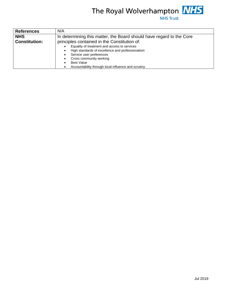## The Royal Wolverhampton **NHS**<br>NHS Trust

| <b>References</b>    | N/A                                                                  |  |  |  |  |
|----------------------|----------------------------------------------------------------------|--|--|--|--|
| <b>NHS</b>           | In determining this matter, the Board should have regard to the Core |  |  |  |  |
| <b>Constitution:</b> | principles contained in the Constitution of:                         |  |  |  |  |
|                      | Equality of treatment and access to services                         |  |  |  |  |
|                      | High standards of excellence and professionalism                     |  |  |  |  |
|                      | Service user preferences                                             |  |  |  |  |
|                      | Cross community working                                              |  |  |  |  |
|                      | <b>Best Value</b>                                                    |  |  |  |  |
|                      | Accountability through local influence and scrutiny                  |  |  |  |  |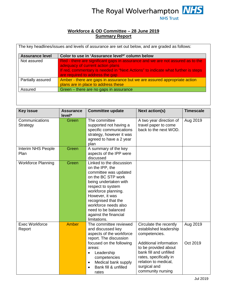

## **Workforce & OD Committee – 28 June 2019 Summary Report**

| <b>Assurance level</b> | Color to use in 'Assurance level*' column below                                                                                                                                                                                           |
|------------------------|-------------------------------------------------------------------------------------------------------------------------------------------------------------------------------------------------------------------------------------------|
| Not assured            | Red - there are significant gaps in assurance and we are not assured as to the<br>adequacy of current action plans<br>If red, commentary is needed in "Next Actions" to indicate what further is steps<br>are required to address the gap |
| Partially assured      | Amber - there are gaps in assurance but we are assured appropriate action<br>plans are in place to address these                                                                                                                          |
| Assured                | Green – there are no gaps in assurance                                                                                                                                                                                                    |

| <b>Key issue</b>                | <b>Assurance</b><br>level* | <b>Committee update</b>                                                                                                                                                                                                                                                                           | <b>Next action(s)</b>                                                                                                                                           | <b>Timescale</b> |
|---------------------------------|----------------------------|---------------------------------------------------------------------------------------------------------------------------------------------------------------------------------------------------------------------------------------------------------------------------------------------------|-----------------------------------------------------------------------------------------------------------------------------------------------------------------|------------------|
| Communications<br>Strategy      | Green                      | The committee<br>supported not having a<br>specific communications<br>strategy, however it was<br>agreed to have a 2 year<br>plan                                                                                                                                                                 | A two year direction of<br>travel paper to come<br>back to the next WOD.                                                                                        | Aug 2019         |
| Interim NHS People<br>Plan      | Green                      | A summary of the key<br>aspects of the IPP were<br>discussed                                                                                                                                                                                                                                      |                                                                                                                                                                 |                  |
| <b>Workforce Planning</b>       | Green                      | Linked to the discussion<br>on the IPP, the<br>committee was updated<br>on the BC STP work<br>being undertaken with<br>respect to system<br>workforce planning.<br>However, it was<br>recognised that the<br>workforce needs also<br>need to be balanced<br>against the financial<br>limitations. |                                                                                                                                                                 |                  |
| <b>Exec Workforce</b><br>Report | <b>Amber</b>               | The committee reviewed<br>and discussed key<br>aspects of the workforce<br>report. The discussion                                                                                                                                                                                                 | Circulate the recently<br>established leadership<br>competencies.                                                                                               | Aug 2019         |
|                                 |                            | focused on the following<br>areas:<br>Leadership<br>$\bullet$<br>competencies<br>Medical bank supply<br>$\bullet$<br>Bank fill & unfilled<br>rates                                                                                                                                                | Additional information<br>to be provided about<br>bank fill and unfilled<br>rates, specifically in<br>relation to medical,<br>surgical and<br>community nursing | Oct 2019         |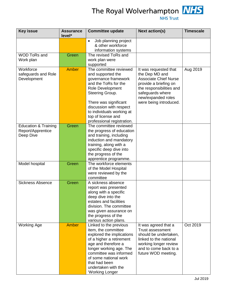

The Royal Wolverhampton **NHS** 

| <b>Key issue</b>                                                  | <b>Assurance</b><br>level* | <b>Committee update</b>                                                                                                                                                                                                                                                 | <b>Next action(s)</b>                                                                                                                                                                            | <b>Timescale</b> |
|-------------------------------------------------------------------|----------------------------|-------------------------------------------------------------------------------------------------------------------------------------------------------------------------------------------------------------------------------------------------------------------------|--------------------------------------------------------------------------------------------------------------------------------------------------------------------------------------------------|------------------|
|                                                                   |                            | Job planning project<br>$\bullet$<br>& other workforce<br>information systems                                                                                                                                                                                           |                                                                                                                                                                                                  |                  |
| <b>WOD ToRs and</b><br>Work plan                                  | Green                      | The revised ToRs and<br>work plan were<br>supported                                                                                                                                                                                                                     |                                                                                                                                                                                                  |                  |
| Workforce<br>safeguards and Role<br>Development                   | <b>Amber</b>               | The committee reviewed<br>and supported the<br>governance framework<br>and the ToRs for the<br>Role Development<br>Steering Group.<br>There was significant<br>discussion with respect<br>to individuals working at<br>top of license and<br>professional registration. | It was requested that<br>the Dep MD and<br><b>Associate Chief Nurse</b><br>provide a briefing on<br>the responsibilities and<br>safeguards where<br>new/expanded roles<br>were being introduced. | Aug 2019         |
| <b>Education &amp; Training</b><br>Report/Apprentice<br>Deep Dive | Green                      | The committee reviewed<br>the progress of education<br>and training, including<br>induction and mandatory<br>training, along with a<br>specific deep dive into<br>the progress of the<br>apprentice programme.                                                          |                                                                                                                                                                                                  |                  |
| Model hospital                                                    | Green                      | The workforce elements<br>of the Model Hospital<br>were reviewed by the<br>committee                                                                                                                                                                                    |                                                                                                                                                                                                  |                  |
| <b>Sickness Absence</b>                                           | Green                      | A sickness absence<br>report was presented<br>along with a specific<br>deep dive into the<br>estates and facilities<br>division. The committee<br>was given assurance on<br>the progress of the<br>various action plans.                                                |                                                                                                                                                                                                  |                  |
| <b>Working Age</b>                                                | Amber                      | Linked to the previous<br>item, the committee<br>explored the implications<br>of a higher a retirement<br>age and therefore a<br>longer working age. The<br>committee was informed<br>of some national work<br>that had been<br>undertaken with the<br>'Working Longer  | It was agreed that a<br><b>Trust assessment</b><br>should be undertaken,<br>linked to the national<br>working longer review<br>and to come back to a<br>future WOD meeting.                      | Oct 2019         |